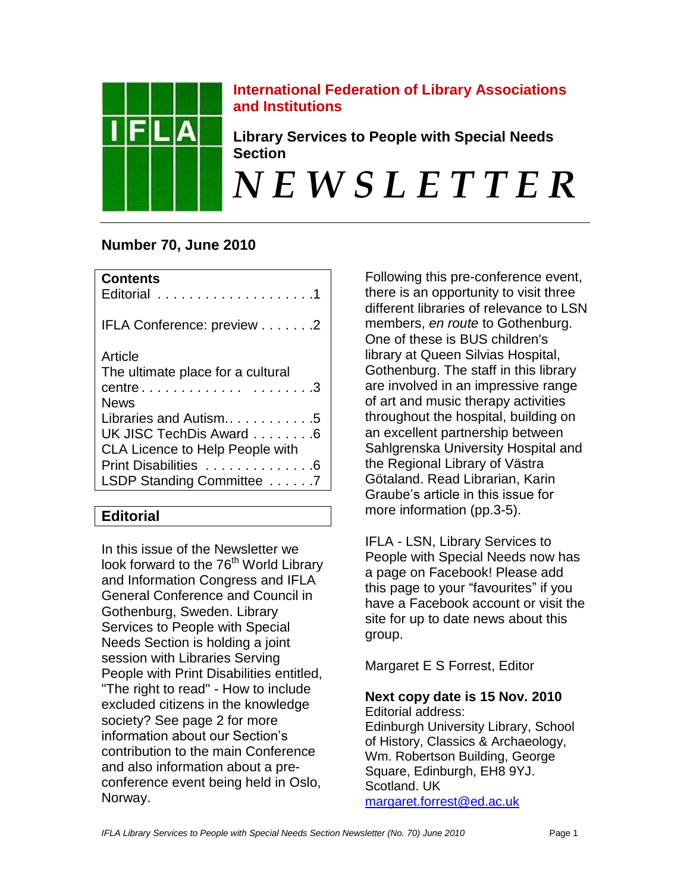

# **International Federation of Library Associations and Institutions**

**Library Services to People with Special Needs Section**

# *N E W S L E T T E R*

# **Number 70, June 2010**

| <b>Contents</b>                                                                                                                                 |
|-------------------------------------------------------------------------------------------------------------------------------------------------|
| IFLA Conference: preview 2                                                                                                                      |
| Article<br>The ultimate place for a cultural<br>centre3<br><b>News</b>                                                                          |
| Libraries and Autism5<br>UK JISC TechDis Award 6<br><b>CLA Licence to Help People with</b><br>Print Disabilities 6<br>LSDP Standing Committee 7 |

# **Editorial**

In this issue of the Newsletter we look forward to the 76<sup>th</sup> World Library and Information Congress and IFLA General Conference and Council in Gothenburg, Sweden. Library Services to People with Special Needs Section is holding a joint session with Libraries Serving People with Print Disabilities entitled, "The right to read" - How to include excluded citizens in the knowledge society? See page 2 for more information about our Section's contribution to the main Conference and also information about a preconference event being held in Oslo, Norway.

Following this pre-conference event, there is an opportunity to visit three different libraries of relevance to LSN members, *en route* to Gothenburg. One of these is BUS children's library at Queen Silvias Hospital, Gothenburg. The staff in this library are involved in an impressive range of art and music therapy activities throughout the hospital, building on an excellent partnership between Sahlgrenska University Hospital and the Regional Library of Västra Götaland. Read Librarian, Karin Graube"s article in this issue for more information (pp.3-5).

IFLA - LSN, Library Services to People with Special Needs now has a page on Facebook! Please add this page to your "favourites" if you have a Facebook account or visit the site for up to date news about this group.

Margaret E S Forrest, Editor

# **Next copy date is 15 Nov. 2010**

Editorial address: Edinburgh University Library, School of History, Classics & Archaeology, Wm. Robertson Building, George Square, Edinburgh, EH8 9YJ. Scotland. UK [margaret.forrest@ed.ac.uk](mailto:margaret.forrest@ed.ac.uk)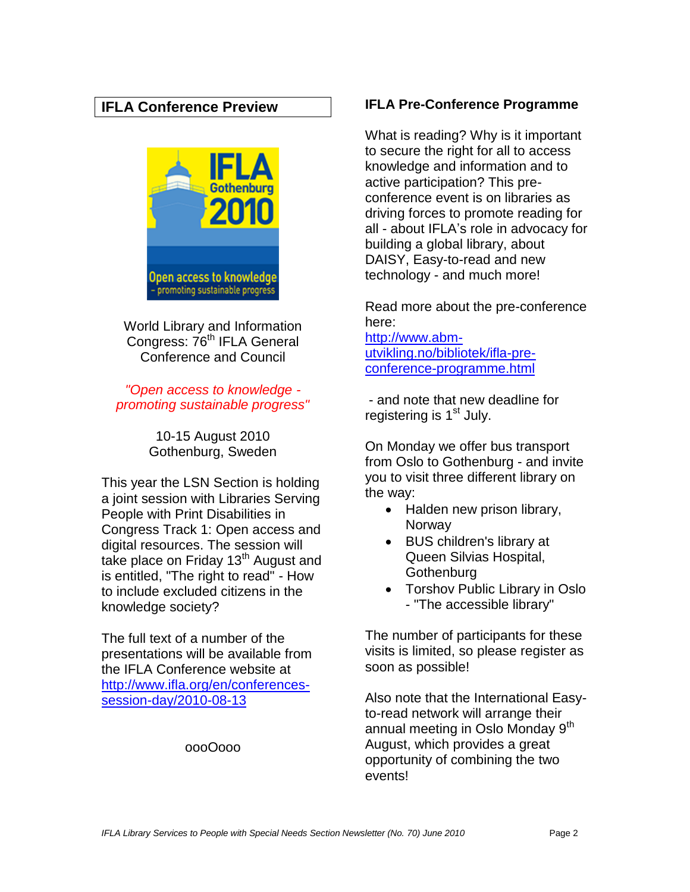# **IFLA Conference Preview**



World Library and Information Congress: 76<sup>th</sup> IFLA General Conference and Council

*"Open access to knowledge promoting sustainable progress"*

> 10-15 August 2010 Gothenburg, Sweden

This year the LSN Section is holding a joint session with Libraries Serving People with Print Disabilities in Congress Track 1: Open access and digital resources. The session will take place on Friday 13<sup>th</sup> August and is entitled, "The right to read" - How to include excluded citizens in the knowledge society?

The full text of a number of the presentations will be available from the IFLA Conference website at [http://www.ifla.org/en/conferences](http://www.ifla.org/en/conferences-session-day/2010-08-13)[session-day/2010-08-13](http://www.ifla.org/en/conferences-session-day/2010-08-13)

#### oooOooo

## **IFLA Pre-Conference Programme**

What is reading? Why is it important to secure the right for all to access knowledge and information and to active participation? This preconference event is on libraries as driving forces to promote reading for all - about IFLA"s role in advocacy for building a global library, about DAISY, Easy-to-read and new technology - and much more!

Read more about the pre-conference here: [http://www.abm-](http://www.abm-utvikling.no/bibliotek/ifla-pre-conference-programme.html)

[utvikling.no/bibliotek/ifla-pre](http://www.abm-utvikling.no/bibliotek/ifla-pre-conference-programme.html)[conference-programme.html](http://www.abm-utvikling.no/bibliotek/ifla-pre-conference-programme.html)

- and note that new deadline for registering is  $1<sup>st</sup>$  July.

On Monday we offer bus transport from Oslo to Gothenburg - and invite you to visit three different library on the way:

- Halden new prison library, **Norway**
- BUS children's library at Queen Silvias Hospital, **Gothenburg**
- Torshov Public Library in Oslo - "The accessible library"

The number of participants for these visits is limited, so please register as soon as possible!

Also note that the International Easyto-read network will arrange their annual meeting in Oslo Monday 9<sup>th</sup> August, which provides a great opportunity of combining the two events!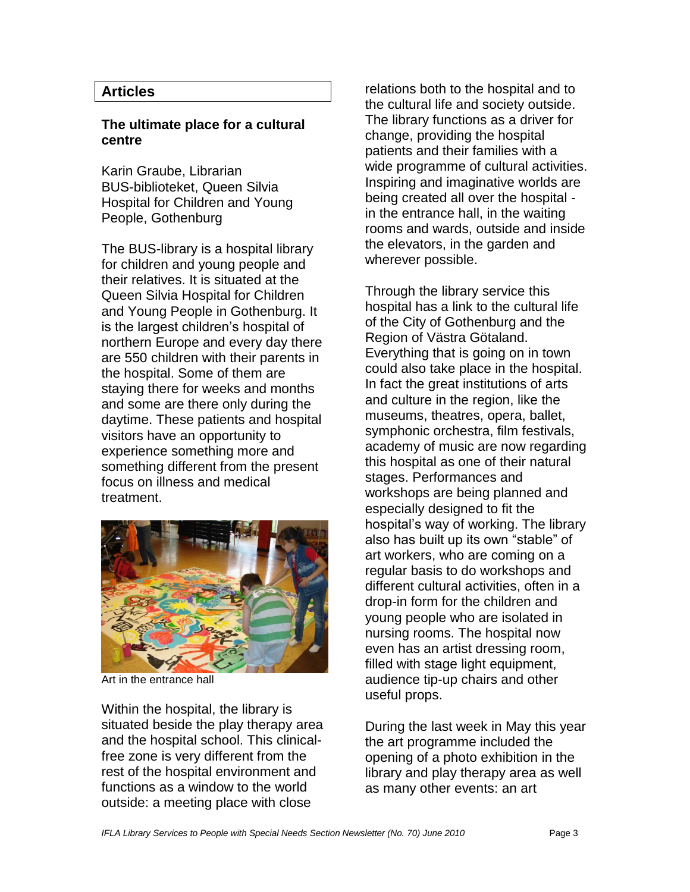# **Articles**

## **The ultimate place for a cultural centre**

Karin Graube, Librarian BUS-biblioteket, Queen Silvia Hospital for Children and Young People, Gothenburg

The BUS-library is a hospital library for children and young people and their relatives. It is situated at the Queen Silvia Hospital for Children and Young People in Gothenburg. It is the largest children's hospital of northern Europe and every day there are 550 children with their parents in the hospital. Some of them are staying there for weeks and months and some are there only during the daytime. These patients and hospital visitors have an opportunity to experience something more and something different from the present focus on illness and medical treatment.



Art in the entrance hall

Within the hospital, the library is situated beside the play therapy area and the hospital school. This clinicalfree zone is very different from the rest of the hospital environment and functions as a window to the world outside: a meeting place with close

relations both to the hospital and to the cultural life and society outside. The library functions as a driver for change, providing the hospital patients and their families with a wide programme of cultural activities. Inspiring and imaginative worlds are being created all over the hospital in the entrance hall, in the waiting rooms and wards, outside and inside the elevators, in the garden and wherever possible.

Through the library service this hospital has a link to the cultural life of the City of Gothenburg and the Region of Västra Götaland. Everything that is going on in town could also take place in the hospital. In fact the great institutions of arts and culture in the region, like the museums, theatres, opera, ballet, symphonic orchestra, film festivals, academy of music are now regarding this hospital as one of their natural stages. Performances and workshops are being planned and especially designed to fit the hospital"s way of working. The library also has built up its own "stable" of art workers, who are coming on a regular basis to do workshops and different cultural activities, often in a drop-in form for the children and young people who are isolated in nursing rooms. The hospital now even has an artist dressing room, filled with stage light equipment, audience tip-up chairs and other useful props.

During the last week in May this year the art programme included the opening of a photo exhibition in the library and play therapy area as well as many other events: an art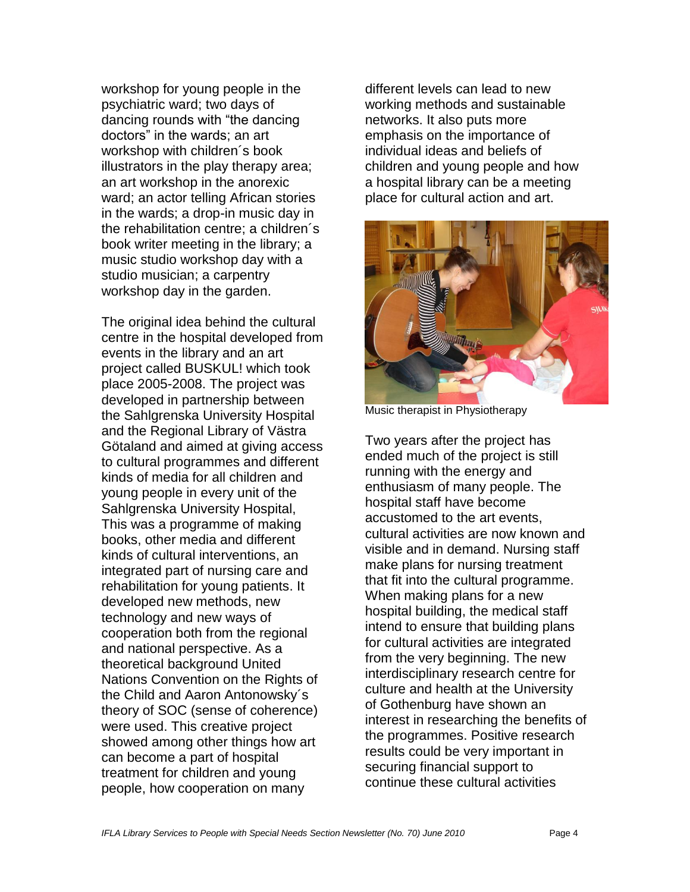workshop for young people in the psychiatric ward; two days of dancing rounds with "the dancing doctors" in the wards; an art workshop with children´s book illustrators in the play therapy area; an art workshop in the anorexic ward; an actor telling African stories in the wards; a drop-in music day in the rehabilitation centre; a children´s book writer meeting in the library; a music studio workshop day with a studio musician; a carpentry workshop day in the garden.

The original idea behind the cultural centre in the hospital developed from events in the library and an art project called BUSKUL! which took place 2005-2008. The project was developed in partnership between the Sahlgrenska University Hospital and the Regional Library of Västra Götaland and aimed at giving access to cultural programmes and different kinds of media for all children and young people in every unit of the Sahlgrenska University Hospital, This was a programme of making books, other media and different kinds of cultural interventions, an integrated part of nursing care and rehabilitation for young patients. It developed new methods, new technology and new ways of cooperation both from the regional and national perspective. As a theoretical background United Nations Convention on the Rights of the Child and Aaron Antonowsky´s theory of SOC (sense of coherence) were used. This creative project showed among other things how art can become a part of hospital treatment for children and young people, how cooperation on many

different levels can lead to new working methods and sustainable networks. It also puts more emphasis on the importance of individual ideas and beliefs of children and young people and how a hospital library can be a meeting place for cultural action and art.



Music therapist in Physiotherapy

Two years after the project has ended much of the project is still running with the energy and enthusiasm of many people. The hospital staff have become accustomed to the art events, cultural activities are now known and visible and in demand. Nursing staff make plans for nursing treatment that fit into the cultural programme. When making plans for a new hospital building, the medical staff intend to ensure that building plans for cultural activities are integrated from the very beginning. The new interdisciplinary research centre for culture and health at the University of Gothenburg have shown an interest in researching the benefits of the programmes. Positive research results could be very important in securing financial support to continue these cultural activities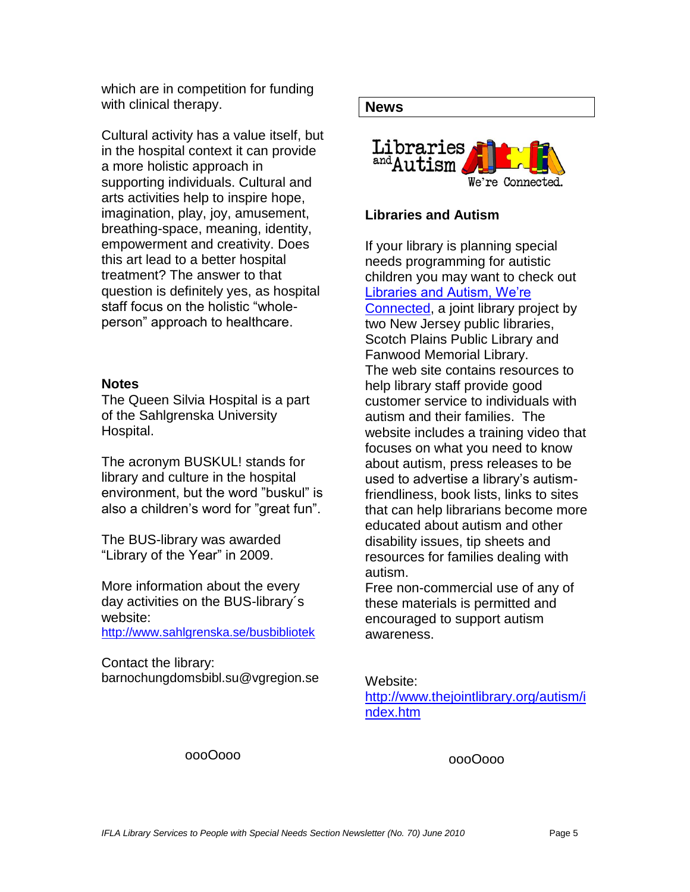which are in competition for funding with clinical therapy.

Cultural activity has a value itself, but in the hospital context it can provide a more holistic approach in supporting individuals. Cultural and arts activities help to inspire hope, imagination, play, joy, amusement, breathing-space, meaning, identity, empowerment and creativity. Does this art lead to a better hospital treatment? The answer to that question is definitely yes, as hospital staff focus on the holistic "wholeperson" approach to healthcare.

#### **Notes**

The Queen Silvia Hospital is a part of the Sahlgrenska University Hospital.

The acronym BUSKUL! stands for library and culture in the hospital environment, but the word "buskul" is also a children"s word for "great fun".

The BUS-library was awarded "Library of the Year" in 2009.

More information about the every day activities on the BUS-library´s website:

<http://www.sahlgrenska.se/busbibliotek>

Contact the library: barnochungdomsbibl.su@vgregion.se

#### **News**



## **Libraries and Autism**

If your library is planning special needs programming for autistic children you may want to check out [Libraries and Autism, We"re](http://www.thejointlibrary.org/autism/index.htm)  [Connected,](http://www.thejointlibrary.org/autism/index.htm) a joint library project by two New Jersey public libraries, Scotch Plains Public Library and Fanwood Memorial Library. The web site contains resources to help library staff provide good customer service to individuals with autism and their families. The website includes a training video that focuses on what you need to know about autism, press releases to be used to advertise a library"s autismfriendliness, book lists, links to sites that can help librarians become more educated about autism and other disability issues, tip sheets and resources for families dealing with autism.

Free non-commercial use of any of these materials is permitted and encouraged to support autism awareness.

Website:

[http://www.thejointlibrary.org/autism/i](http://www.thejointlibrary.org/autism/index.htm) [ndex.htm](http://www.thejointlibrary.org/autism/index.htm)

oooOooo

oooOooo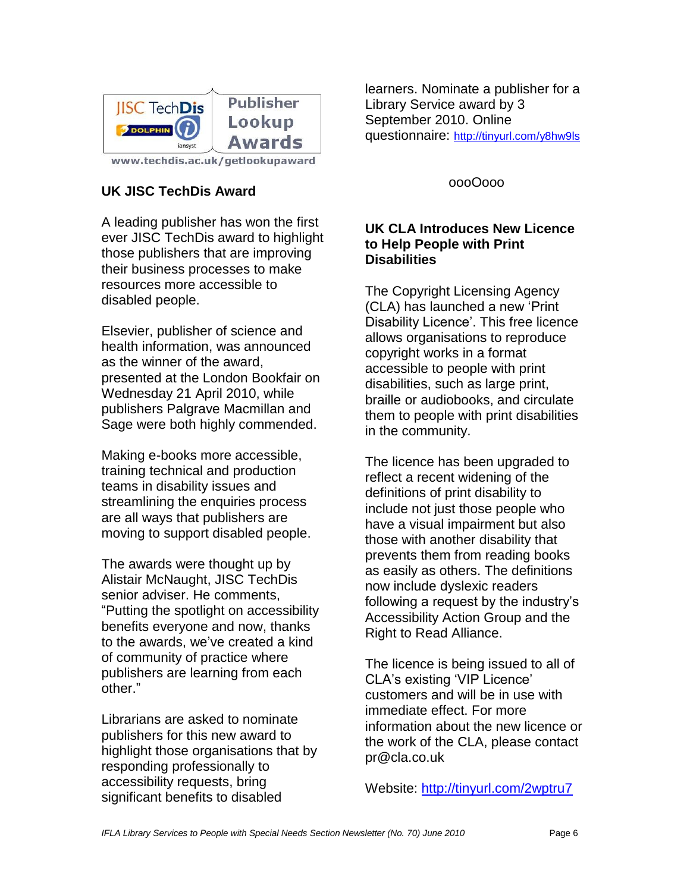

www.techdis.ac.uk/getlookupaward

# **UK JISC TechDis Award**

A leading publisher has won the first ever JISC TechDis award to highlight those publishers that are improving their business processes to make resources more accessible to disabled people.

Elsevier, publisher of science and health information, was announced as the winner of the award, presented at the London Bookfair on Wednesday 21 April 2010, while publishers Palgrave Macmillan and Sage were both highly commended.

Making e-books more accessible, training technical and production teams in disability issues and streamlining the enquiries process are all ways that publishers are moving to support disabled people.

The awards were thought up by Alistair McNaught, JISC TechDis senior adviser. He comments, "Putting the spotlight on accessibility benefits everyone and now, thanks to the awards, we"ve created a kind of community of practice where publishers are learning from each other."

Librarians are asked to nominate publishers for this new award to highlight those organisations that by responding professionally to accessibility requests, bring significant benefits to disabled

learners. Nominate a publisher for a Library Service award by 3 September 2010. Online questionnaire: <http://tinyurl.com/y8hw9ls>

oooOooo

## **UK CLA Introduces New Licence to Help People with Print Disabilities**

The Copyright Licensing Agency (CLA) has launched a new "Print Disability Licence". This free licence allows organisations to reproduce copyright works in a format accessible to people with print disabilities, such as large print, braille or audiobooks, and circulate them to people with print disabilities in the community.

The licence has been upgraded to reflect a recent widening of the definitions of print disability to include not just those people who have a visual impairment but also those with another disability that prevents them from reading books as easily as others. The definitions now include dyslexic readers following a request by the industry's Accessibility Action Group and the Right to Read Alliance.

The licence is being issued to all of CLA"s existing "VIP Licence" customers and will be in use with immediate effect. For more information about the new licence or the work of the CLA, please contact pr@cla.co.uk

Website:<http://tinyurl.com/2wptru7>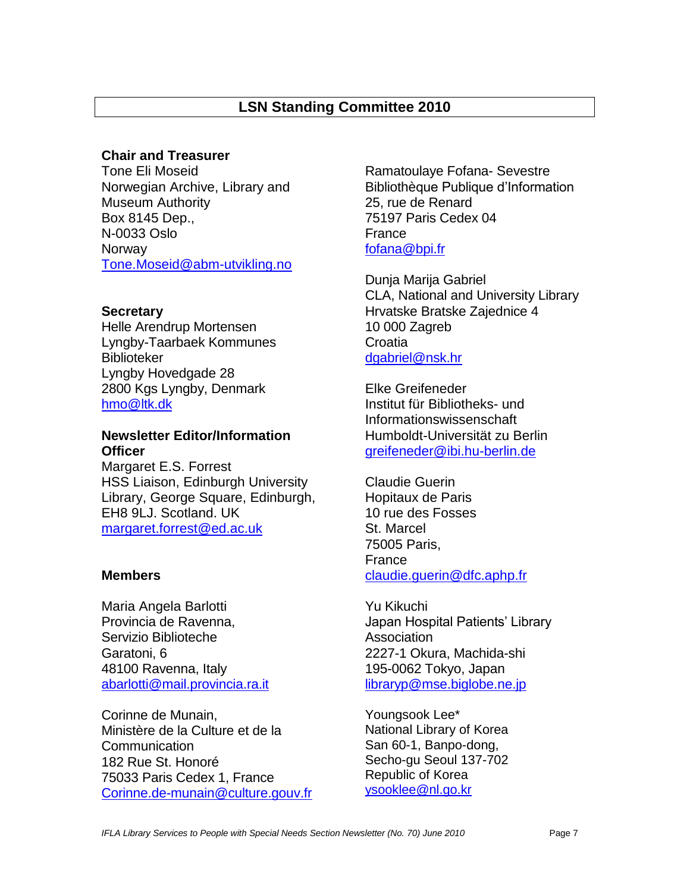# **LSN Standing Committee 2010**

## **Chair and Treasurer**

Tone Eli Moseid Norwegian Archive, Library and Museum Authority Box 8145 Dep., N-0033 Oslo Norway [Tone.Moseid@abm-utvikling.no](mailto:Tone.Moseid@abm-utvikling.no)

## **Secretary**

Helle Arendrup Mortensen Lyngby-Taarbaek Kommunes Biblioteker Lyngby Hovedgade 28 2800 Kgs Lyngby, Denmark [hmo@ltk.dk](mailto:hmo@ltk.dk)

## **Newsletter Editor/Information Officer**

Margaret E.S. Forrest HSS Liaison, Edinburgh University Library, George Square, Edinburgh, EH8 9LJ. Scotland. UK [margaret.forrest@ed.ac.uk](mailto:margaret.forrest@ed.ac.uk)

## **Members**

Maria Angela Barlotti Provincia de Ravenna, Servizio Biblioteche Garatoni, 6 48100 Ravenna, Italy [abarlotti@mail.provincia.ra.it](mailto:abarlotti@mail.provincia.ra.it)

Corinne de Munain, Ministère de la Culture et de la Communication 182 Rue St. Honoré 75033 Paris Cedex 1, France [Corinne.de-munain@culture.gouv.fr](mailto:Corinne.de-murain@culture.gouv.fr) Ramatoulaye Fofana- Sevestre Bibliothèque Publique d"Information 25, rue de Renard 75197 Paris Cedex 04 France [fofana@bpi.fr](mailto:fofana@bpi.fr)

Dunja Marija Gabriel CLA, National and University Library Hrvatske Bratske Zajednice 4 10 000 Zagreb **Croatia** [dgabriel@nsk.hr](mailto:dgabriel@nsk.hr)

Elke Greifeneder Institut für Bibliotheks- und Informationswissenschaft Humboldt-Universität zu Berlin [greifeneder@ibi.hu-berlin.de](mailto:greifeneder@ibi.hu-berlin.de)

Claudie Guerin Hopitaux de Paris 10 rue des Fosses St. Marcel 75005 Paris, France claudie.guerin@dfc.aphp.fr

Yu Kikuchi Japan Hospital Patients" Library Association 2227-1 Okura, Machida-shi 195-0062 Tokyo, Japan [libraryp@mse.biglobe.ne.jp](mailto:libraryp@mse.biglobe.ne.jp)

Youngsook Lee\* National Library of Korea San 60-1, Banpo-dong, Secho-gu Seoul 137-702 Republic of Korea [ysooklee@nl.go.kr](mailto:ysooklee@nl.go.kr)